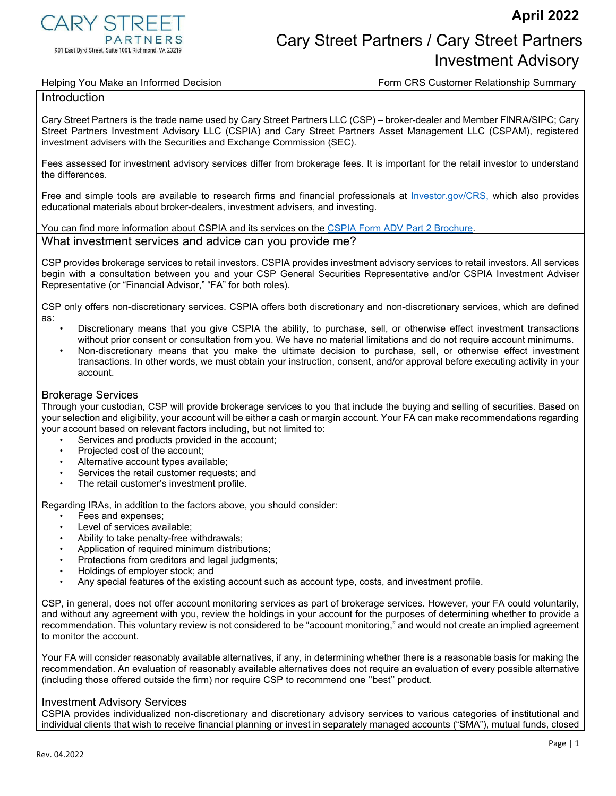

# **PARTNERS** PARTNERS Cary Street Partners / Cary Street Partners Article of Partners Investment Advisory

Helping You Make an Informed Decision Form CRS Customer Relationship Summary

### Introduction

Cary Street Partners is the trade name used by Cary Street Partners LLC (CSP) – broker-dealer and Member FINRA/SIPC; Cary Street Partners Investment Advisory LLC (CSPIA) and Cary Street Partners Asset Management LLC (CSPAM), registered investment advisers with the Securities and Exchange Commission (SEC).

Fees assessed for investment advisory services differ from brokerage fees. It is important for the retail investor to understand the differences.

Free and simple tools are available to research firms and financial professionals at [Investor.gov/CRS,](https://www.investor.gov/CRS) which also provides educational materials about broker-dealers, investment advisers, and investing.

You can find more information about CSPIA and its services on the [CSPIA Form ADV Part 2 Brochure.](https://files.adviserinfo.sec.gov/IAPD/Content/Common/crd_iapd_Brochure.aspx?BRCHR_VRSN_ID=770245)

# What investment services and advice can you provide me?

CSP provides brokerage services to retail investors. CSPIA provides investment advisory services to retail investors. All services begin with a consultation between you and your CSP General Securities Representative and/or CSPIA Investment Adviser Representative (or "Financial Advisor," "FA" for both roles).

CSP only offers non-discretionary services. CSPIA offers both discretionary and non-discretionary services, which are defined as:

- Discretionary means that you give CSPIA the ability, to purchase, sell, or otherwise effect investment transactions without prior consent or consultation from you. We have no material limitations and do not require account minimums.
- Non-discretionary means that you make the ultimate decision to purchase, sell, or otherwise effect investment transactions. In other words, we must obtain your instruction, consent, and/or approval before executing activity in your account.

### Brokerage Services

Through your custodian, CSP will provide brokerage services to you that include the buying and selling of securities. Based on your selection and eligibility, your account will be either a cash or margin account. Your FA can make recommendations regarding your account based on relevant factors including, but not limited to:

- Services and products provided in the account;
- Projected cost of the account;
- Alternative account types available;
- Services the retail customer requests; and
- The retail customer's investment profile.

Regarding IRAs, in addition to the factors above, you should consider:

- Fees and expenses;
- Level of services available;
- Ability to take penalty-free withdrawals;
- Application of required minimum distributions:
- Protections from creditors and legal judgments;
- Holdings of employer stock; and
- Any special features of the existing account such as account type, costs, and investment profile.

CSP, in general, does not offer account monitoring services as part of brokerage services. However, your FA could voluntarily, and without any agreement with you, review the holdings in your account for the purposes of determining whether to provide a recommendation. This voluntary review is not considered to be "account monitoring," and would not create an implied agreement to monitor the account.

Your FA will consider reasonably available alternatives, if any, in determining whether there is a reasonable basis for making the recommendation. An evaluation of reasonably available alternatives does not require an evaluation of every possible alternative (including those offered outside the firm) nor require CSP to recommend one ''best'' product.

# Investment Advisory Services

CSPIA provides individualized non-discretionary and discretionary advisory services to various categories of institutional and individual clients that wish to receive financial planning or invest in separately managed accounts ("SMA"), mutual funds, closed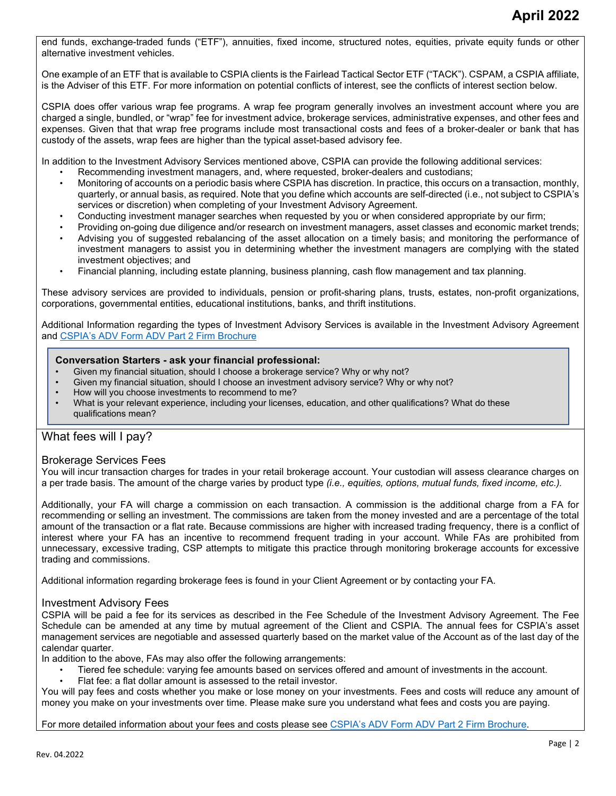end funds, exchange-traded funds ("ETF"), annuities, fixed income, structured notes, equities, private equity funds or other alternative investment vehicles.

One example of an ETF that is available to CSPIA clients is the Fairlead Tactical Sector ETF ("TACK"). CSPAM, a CSPIA affiliate, is the Adviser of this ETF. For more information on potential conflicts of interest, see the conflicts of interest section below.

CSPIA does offer various wrap fee programs. A wrap fee program generally involves an investment account where you are charged a single, bundled, or "wrap" fee for investment advice, brokerage services, administrative expenses, and other fees and expenses. Given that that wrap free programs include most transactional costs and fees of a broker-dealer or bank that has custody of the assets, wrap fees are higher than the typical asset-based advisory fee.

In addition to the Investment Advisory Services mentioned above, CSPIA can provide the following additional services:

- Recommending investment managers, and, where requested, broker-dealers and custodians;
- Monitoring of accounts on a periodic basis where CSPIA has discretion. In practice, this occurs on a transaction, monthly, quarterly, or annual basis, as required. Note that you define which accounts are self-directed (i.e., not subject to CSPIA's services or discretion) when completing of your Investment Advisory Agreement.
- Conducting investment manager searches when requested by you or when considered appropriate by our firm;
- Providing on-going due diligence and/or research on investment managers, asset classes and economic market trends;
- Advising you of suggested rebalancing of the asset allocation on a timely basis; and monitoring the performance of investment managers to assist you in determining whether the investment managers are complying with the stated investment objectives; and
- Financial planning, including estate planning, business planning, cash flow management and tax planning.

These advisory services are provided to individuals, pension or profit-sharing plans, trusts, estates, non-profit organizations, corporations, governmental entities, educational institutions, banks, and thrift institutions.

Additional Information regarding the types of Investment Advisory Services is available in the Investment Advisory Agreement and [CSPIA's ADV Form ADV Part 2 Firm Brochure](https://files.adviserinfo.sec.gov/IAPD/Content/Common/crd_iapd_Brochure.aspx?BRCHR_VRSN_ID=770245)

#### **Conversation Starters - ask your financial professional:**

- Given my financial situation, should I choose a brokerage service? Why or why not?
- Given my financial situation, should I choose an investment advisory service? Why or why not?
- How will you choose investments to recommend to me?
- What is your relevant experience, including your licenses, education, and other qualifications? What do these qualifications mean?

# What fees will I pay?

## Brokerage Services Fees

You will incur transaction charges for trades in your retail brokerage account. Your custodian will assess clearance charges on a per trade basis. The amount of the charge varies by product type *(i.e., equities, options, mutual funds, fixed income, etc.).*

Additionally, your FA will charge a commission on each transaction. A commission is the additional charge from a FA for recommending or selling an investment. The commissions are taken from the money invested and are a percentage of the total amount of the transaction or a flat rate. Because commissions are higher with increased trading frequency, there is a conflict of interest where your FA has an incentive to recommend frequent trading in your account. While FAs are prohibited from unnecessary, excessive trading, CSP attempts to mitigate this practice through monitoring brokerage accounts for excessive trading and commissions.

Additional information regarding brokerage fees is found in your Client Agreement or by contacting your FA.

#### Investment Advisory Fees

CSPIA will be paid a fee for its services as described in the Fee Schedule of the Investment Advisory Agreement. The Fee Schedule can be amended at any time by mutual agreement of the Client and CSPIA. The annual fees for CSPIA's asset management services are negotiable and assessed quarterly based on the market value of the Account as of the last day of the calendar quarter.

In addition to the above, FAs may also offer the following arrangements:

- Tiered fee schedule: varying fee amounts based on services offered and amount of investments in the account.
- Flat fee: a flat dollar amount is assessed to the retail investor.

You will pay fees and costs whether you make or lose money on your investments. Fees and costs will reduce any amount of money you make on your investments over time. Please make sure you understand what fees and costs you are paying.

For more detailed information about your fees and costs please see [CSPIA's ADV Form ADV Part 2 Firm Brochure.](https://files.adviserinfo.sec.gov/IAPD/Content/Common/crd_iapd_Brochure.aspx?BRCHR_VRSN_ID=770245)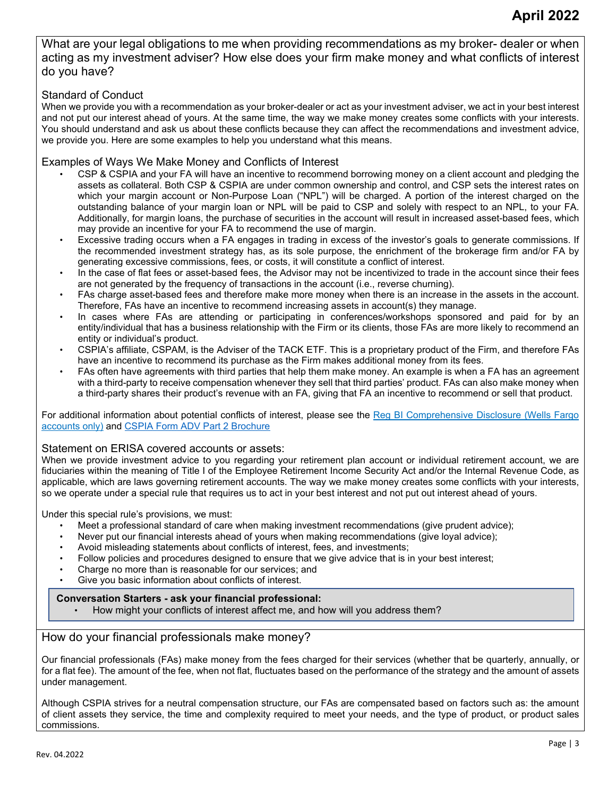What are your legal obligations to me when providing recommendations as my broker- dealer or when acting as my investment adviser? How else does your firm make money and what conflicts of interest do you have?

# Standard of Conduct

When we provide you with a recommendation as your broker-dealer or act as your investment adviser, we act in your best interest and not put our interest ahead of yours. At the same time, the way we make money creates some conflicts with your interests. You should understand and ask us about these conflicts because they can affect the recommendations and investment advice, we provide you. Here are some examples to help you understand what this means.

# Examples of Ways We Make Money and Conflicts of Interest

- CSP & CSPIA and your FA will have an incentive to recommend borrowing money on a client account and pledging the assets as collateral. Both CSP & CSPIA are under common ownership and control, and CSP sets the interest rates on which your margin account or Non-Purpose Loan ("NPL") will be charged. A portion of the interest charged on the outstanding balance of your margin loan or NPL will be paid to CSP and solely with respect to an NPL, to your FA. Additionally, for margin loans, the purchase of securities in the account will result in increased asset-based fees, which may provide an incentive for your FA to recommend the use of margin.
- Excessive trading occurs when a FA engages in trading in excess of the investor's goals to generate commissions. If the recommended investment strategy has, as its sole purpose, the enrichment of the brokerage firm and/or FA by generating excessive commissions, fees, or costs, it will constitute a conflict of interest.
- In the case of flat fees or asset-based fees, the Advisor may not be incentivized to trade in the account since their fees are not generated by the frequency of transactions in the account (i.e., reverse churning).
- FAs charge asset-based fees and therefore make more money when there is an increase in the assets in the account. Therefore, FAs have an incentive to recommend increasing assets in account(s) they manage.
- In cases where FAs are attending or participating in conferences/workshops sponsored and paid for by an entity/individual that has a business relationship with the Firm or its clients, those FAs are more likely to recommend an entity or individual's product.
- CSPIA's affiliate, CSPAM, is the Adviser of the TACK ETF. This is a proprietary product of the Firm, and therefore FAs have an incentive to recommend its purchase as the Firm makes additional money from its fees.
- FAs often have agreements with third parties that help them make money. An example is when a FA has an agreement with a third-party to receive compensation whenever they sell that third parties' product. FAs can also make money when a third-party shares their product's revenue with an FA, giving that FA an incentive to recommend or sell that product.

For additional information about potential conflicts of interest, please see the Reg BI Comprehensive Disclosure (Wells Fargo accounts only) and [CSPIA Form ADV Part 2 Brochure](https://files.adviserinfo.sec.gov/IAPD/Content/Common/crd_iapd_Brochure.aspx?BRCHR_VRSN_ID=770245)

#### Statement on ERISA covered accounts or assets:

When we provide investment advice to you regarding your retirement plan account or individual retirement account, we are fiduciaries within the meaning of Title I of the Employee Retirement Income Security Act and/or the Internal Revenue Code, as applicable, which are laws governing retirement accounts. The way we make money creates some conflicts with your interests, so we operate under a special rule that requires us to act in your best interest and not put out interest ahead of yours.

Under this special rule's provisions, we must:

- Meet a professional standard of care when making investment recommendations (give prudent advice);
- Never put our financial interests ahead of yours when making recommendations (give loyal advice);<br>• Avoid misleading statements about conflicts of interest fees, and investments:
- Avoid misleading statements about conflicts of interest, fees, and investments;
- Follow policies and procedures designed to ensure that we give advice that is in your best interest;
- Charge no more than is reasonable for our services; and
- Give you basic information about conflicts of interest.

#### **Conversation Starters - ask your financial professional:**

• How might your conflicts of interest affect me, and how will you address them?

# How do your financial professionals make money?

Our financial professionals (FAs) make money from the fees charged for their services (whether that be quarterly, annually, or for a flat fee). The amount of the fee, when not flat, fluctuates based on the performance of the strategy and the amount of assets under management.

Although CSPIA strives for a neutral compensation structure, our FAs are compensated based on factors such as: the amount of client assets they service, the time and complexity required to meet your needs, and the type of product, or product sales commissions.